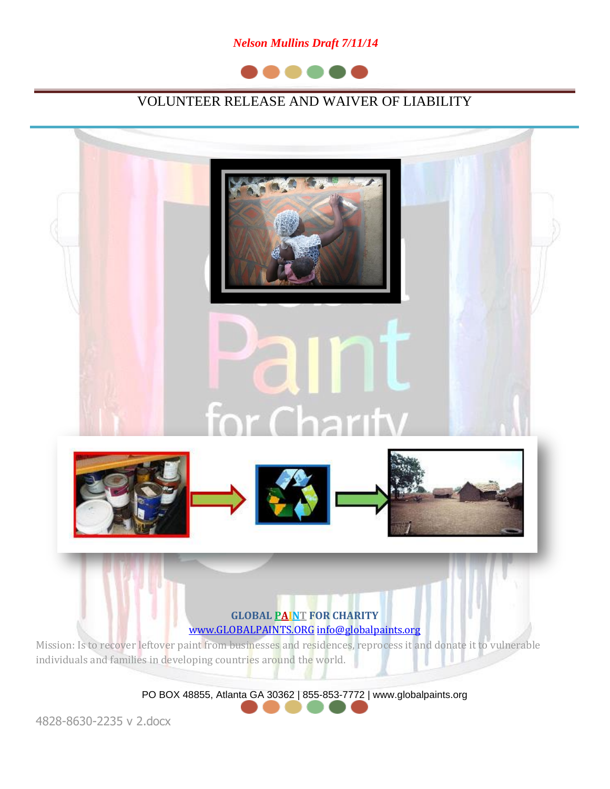



# VOLUNTEER RELEASE AND WAIVER OF LIABILITY



4828-8630-2235 v 2.docx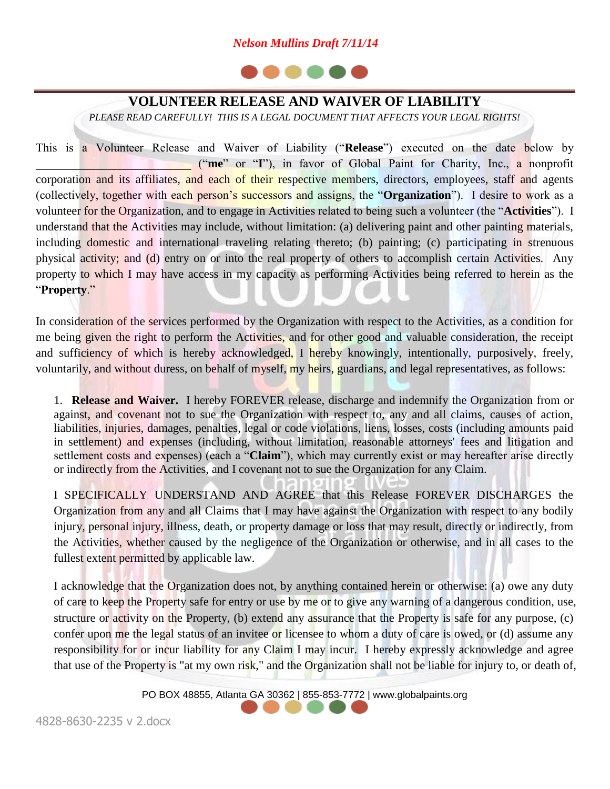

## **VOLUNTEER RELEASE AND WAIVER OF LIABILITY**

*PLEASE READ CAREFULLY! THIS IS A LEGAL DOCUMENT THAT AFFECTS YOUR LEGAL RIGHTS!*

This is a Volunteer Release and Waiver of Liability ("**Release**") executed on the date below by \_\_\_\_\_\_\_\_\_\_\_\_\_\_\_\_\_\_\_\_\_\_\_\_\_\_ ("**me**" or "**I**"), in favor of Global Paint for Charity, Inc., a nonprofit corporation and its affiliates, and each of their respective members, directors, employees, staff and agents (collectively, together with each person's successors and assigns, the "**Organization**"). I desire to work as a volunteer for the Organization, and to engage in Activities related to being such a volunteer (the "**Activities**"). I understand that the Activities may include, without limitation: (a) delivering paint and other painting materials, including domestic and international traveling relating thereto; (b) painting; (c) participating in strenuous physical activity; and (d) entry on or into the real property of others to accomplish certain Activities. Any property to which I may have access in my capacity as performing Activities being referred to herein as the "**Property**."

In consideration of the services performed by the Organization with respect to the Activities, as a condition for me being given the right to perform the Activities, and for other good and valuable consideration, the receipt and sufficiency of which is hereby acknowledged, I hereby knowingly, intentionally, purposively, freely, voluntarily, and without duress, on behalf of myself, my heirs, guardians, and legal representatives, as follows:

1. **Release and Waiver.** I hereby FOREVER release, discharge and indemnify the Organization from or against, and covenant not to sue the Organization with respect to, any and all claims, causes of action, liabilities, injuries, damages, penalties, legal or code violations, liens, losses, costs (including amounts paid in settlement) and expenses (including, without limitation, reasonable attorneys' fees and litigation and settlement costs and expenses) (each a "**Claim**"), which may currently exist or may hereafter arise directly or indirectly from the Activities, and I covenant not to sue the Organization for any Claim.

I SPECIFICALLY UNDERSTAND AND AGREE that this Release FOREVER DISCHARGES the Organization from any and all Claims that I may have against the Organization with respect to any bodily injury, personal injury, illness, death, or property damage or loss that may result, directly or indirectly, from the Activities, whether caused by the negligence of the Organization or otherwise, and in all cases to the fullest extent permitted by applicable law.

I acknowledge that the Organization does not, by anything contained herein or otherwise: (a) owe any duty of care to keep the Property safe for entry or use by me or to give any warning of a dangerous condition, use, structure or activity on the Property, (b) extend any assurance that the Property is safe for any purpose, (c) confer upon me the legal status of an invitee or licensee to whom a duty of care is owed, or (d) assume any responsibility for or incur liability for any Claim I may incur. I hereby expressly acknowledge and agree that use of the Property is "at my own risk," and the Organization shall not be liable for injury to, or death of,

PO BOX 48855, Atlanta GA 30362 | 855-853-7772 | www.globalpaints.org

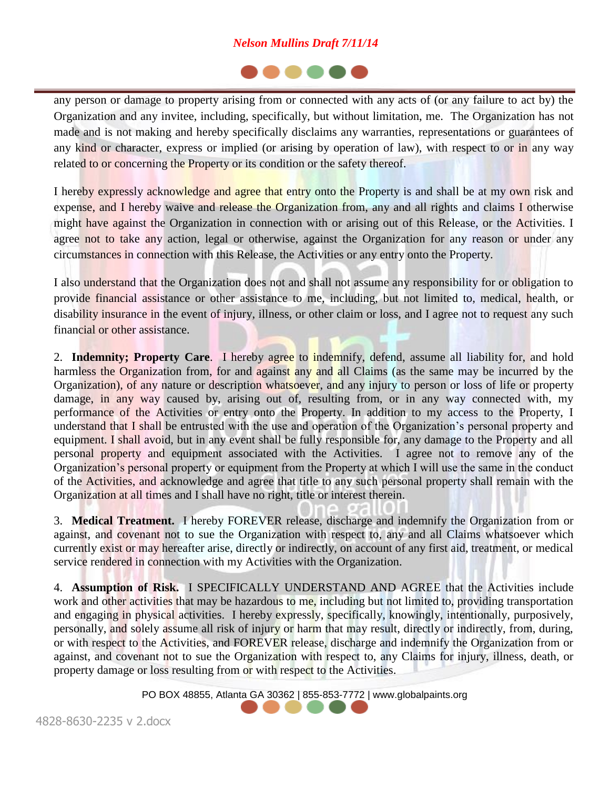

any person or damage to property arising from or connected with any acts of (or any failure to act by) the Organization and any invitee, including, specifically, but without limitation, me. The Organization has not made and is not making and hereby specifically disclaims any warranties, representations or guarantees of any kind or character, express or implied (or arising by operation of law), with respect to or in any way related to or concerning the Property or its condition or the safety thereof.

I hereby expressly acknowledge and agree that entry onto the Property is and shall be at my own risk and expense, and I hereby waive and release the Organization from, any and all rights and claims I otherwise might have against the Organization in connection with or arising out of this Release, or the Activities. I agree not to take any action, legal or otherwise, against the Organization for any reason or under any circumstances in connection with this Release, the Activities or any entry onto the Property.

I also understand that the Organization does not and shall not assume any responsibility for or obligation to provide financial assistance or other assistance to me, including, but not limited to, medical, health, or disability insurance in the event of injury, illness, or other claim or loss, and I agree not to request any such financial or other assistance.

2. **Indemnity; Property Care**. I hereby agree to indemnify, defend, assume all liability for, and hold harmless the Organization from, for and against any and all Claims (as the same may be incurred by the Organization), of any nature or description whatsoever, and any injury to person or loss of life or property damage, in any way caused by, arising out of, resulting from, or in any way connected with, my performance of the Activities or entry onto the Property. In addition to my access to the Property, I understand that I shall be entrusted with the use and operation of the Organization's personal property and equipment. I shall avoid, but in any event shall be fully responsible for, any damage to the Property and all personal property and equipment associated with the Activities. I agree not to remove any of the Organization's personal property or equipment from the Property at which I will use the same in the conduct of the Activities, and acknowledge and agree that title to any such personal property shall remain with the Organization at all times and I shall have no right, title or interest therein.

3. **Medical Treatment.** I hereby FOREVER release, discharge and indemnify the Organization from or against, and covenant not to sue the Organization with respect to, any and all Claims whatsoever which currently exist or may hereafter arise, directly or indirectly, on account of any first aid, treatment, or medical service rendered in connection with my Activities with the Organization.

4. **Assumption of Risk.** I SPECIFICALLY UNDERSTAND AND AGREE that the Activities include work and other activities that may be hazardous to me, including but not limited to, providing transportation and engaging in physical activities. I hereby expressly, specifically, knowingly, intentionally, purposively, personally, and solely assume all risk of injury or harm that may result, directly or indirectly, from, during, or with respect to the Activities, and FOREVER release, discharge and indemnify the Organization from or against, and covenant not to sue the Organization with respect to, any Claims for injury, illness, death, or property damage or loss resulting from or with respect to the Activities.

PO BOX 48855, Atlanta GA 30362 | 855-853-7772 | www.globalpaints.org

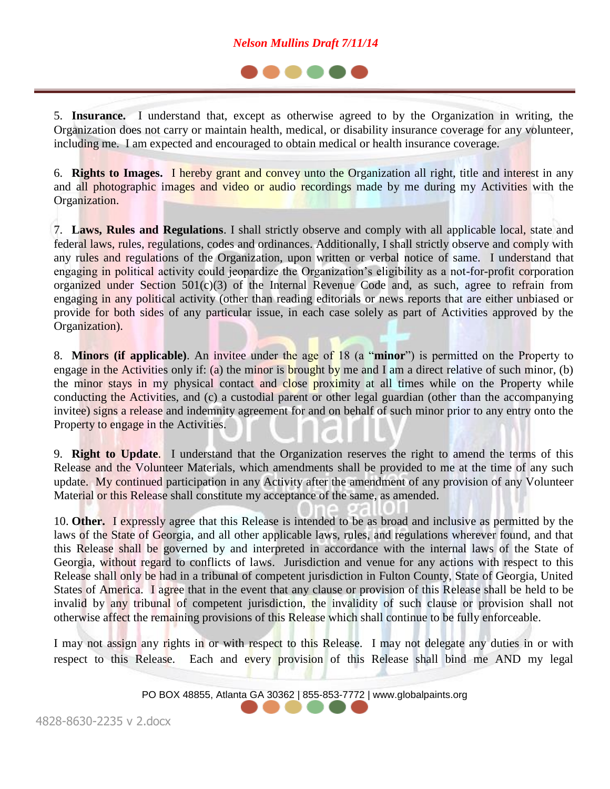

5. **Insurance.** I understand that, except as otherwise agreed to by the Organization in writing, the Organization does not carry or maintain health, medical, or disability insurance coverage for any volunteer, including me. I am expected and encouraged to obtain medical or health insurance coverage.

6. **Rights to Images.** I hereby grant and convey unto the Organization all right, title and interest in any and all photographic images and video or audio recordings made by me during my Activities with the Organization.

7. **Laws, Rules and Regulations**. I shall strictly observe and comply with all applicable local, state and federal laws, rules, regulations, codes and ordinances. Additionally, I shall strictly observe and comply with any rules and regulations of the Organization, upon written or verbal notice of same. I understand that engaging in political activity could jeopardize the Organization's eligibility as a not-for-profit corporation organized under Section  $501(c)(3)$  of the Internal Revenue Code and, as such, agree to refrain from engaging in any political activity (other than reading editorials or news reports that are either unbiased or provide for both sides of any particular issue, in each case solely as part of Activities approved by the Organization).

8. **Minors (if applicable)**. An invitee under the age of 18 (a "**minor**") is permitted on the Property to engage in the Activities only if: (a) the minor is brought by me and I am a direct relative of such minor, (b) the minor stays in my physical contact and close proximity at all times while on the Property while conducting the Activities, and (c) a custodial parent or other legal guardian (other than the accompanying invitee) signs a release and indemnity agreement for and on behalf of such minor prior to any entry onto the Property to engage in the Activities.

9. **Right to Update**. I understand that the Organization reserves the right to amend the terms of this Release and the Volunteer Materials, which amendments shall be provided to me at the time of any such update. My continued participation in any Activity after the amendment of any provision of any Volunteer Material or this Release shall constitute my acceptance of the same, as amended.

10. **Other.** I expressly agree that this Release is intended to be as broad and inclusive as permitted by the laws of the State of Georgia, and all other applicable laws, rules, and regulations wherever found, and that this Release shall be governed by and interpreted in accordance with the internal laws of the State of Georgia, without regard to conflicts of laws. Jurisdiction and venue for any actions with respect to this Release shall only be had in a tribunal of competent jurisdiction in Fulton County, State of Georgia, United States of America. I agree that in the event that any clause or provision of this Release shall be held to be invalid by any tribunal of competent jurisdiction, the invalidity of such clause or provision shall not otherwise affect the remaining provisions of this Release which shall continue to be fully enforceable.

I may not assign any rights in or with respect to this Release. I may not delegate any duties in or with respect to this Release. Each and every provision of this Release shall bind me AND my legal

PO BOX 48855, Atlanta GA 30362 | 855-853-7772 | www.globalpaints.org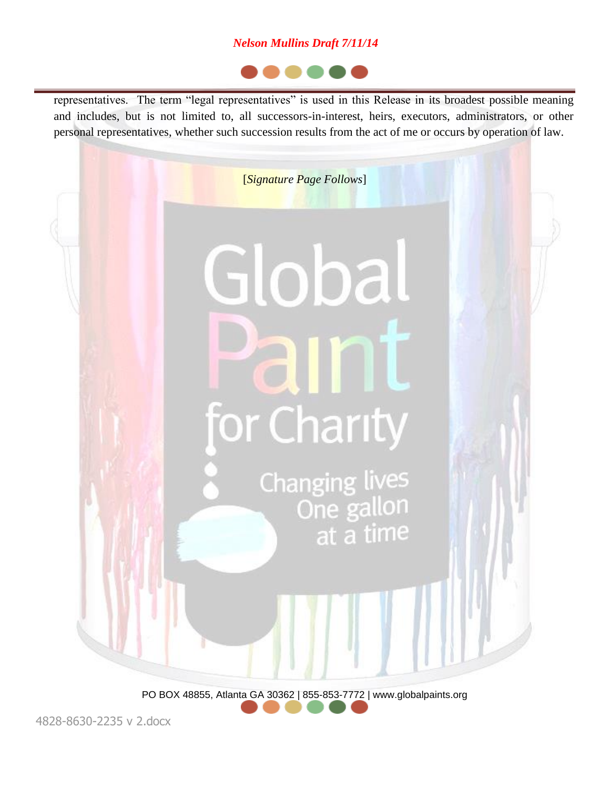

representatives. The term "legal representatives" is used in this Release in its broadest possible meaning and includes, but is not limited to, all successors-in-interest, heirs, executors, administrators, or other personal representatives, whether such succession results from the act of me or occurs by operation of law.



PO BOX 48855, Atlanta GA 30362 | 855-853-7772 | www.globalpaints.org

4828-8630-2235 v 2.docx